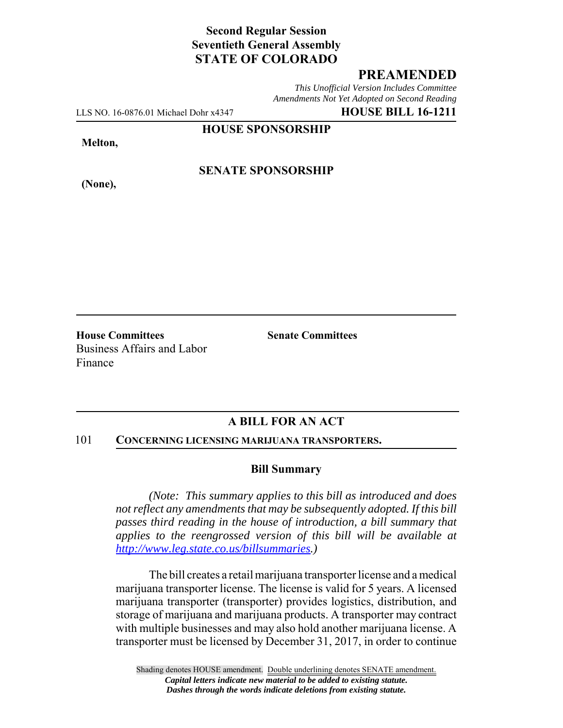# **Second Regular Session Seventieth General Assembly STATE OF COLORADO**

### **PREAMENDED**

*This Unofficial Version Includes Committee Amendments Not Yet Adopted on Second Reading*

LLS NO. 16-0876.01 Michael Dohr x4347 **HOUSE BILL 16-1211**

**HOUSE SPONSORSHIP**

**Melton,**

**(None),**

### **SENATE SPONSORSHIP**

**House Committees Senate Committees** Business Affairs and Labor Finance

# **A BILL FOR AN ACT**

#### 101 **CONCERNING LICENSING MARIJUANA TRANSPORTERS.**

#### **Bill Summary**

*(Note: This summary applies to this bill as introduced and does not reflect any amendments that may be subsequently adopted. If this bill passes third reading in the house of introduction, a bill summary that applies to the reengrossed version of this bill will be available at http://www.leg.state.co.us/billsummaries.)*

The bill creates a retail marijuana transporter license and a medical marijuana transporter license. The license is valid for 5 years. A licensed marijuana transporter (transporter) provides logistics, distribution, and storage of marijuana and marijuana products. A transporter may contract with multiple businesses and may also hold another marijuana license. A transporter must be licensed by December 31, 2017, in order to continue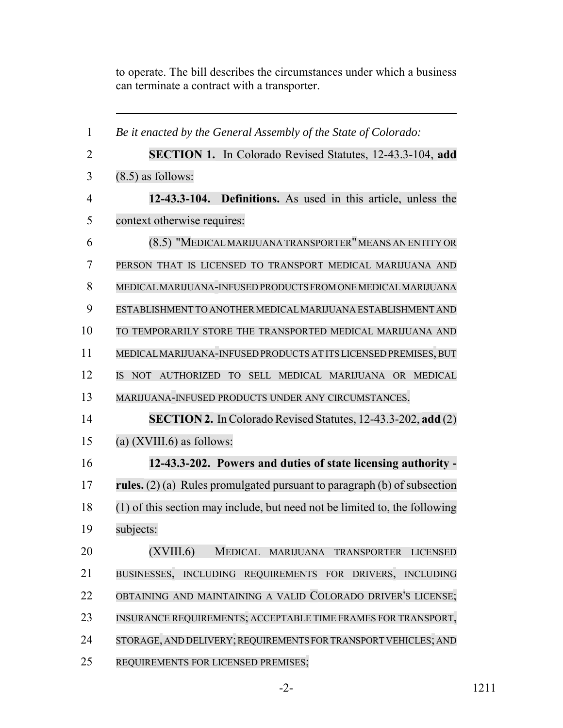to operate. The bill describes the circumstances under which a business can terminate a contract with a transporter.

| 1              | Be it enacted by the General Assembly of the State of Colorado:            |
|----------------|----------------------------------------------------------------------------|
| $\overline{2}$ | SECTION 1. In Colorado Revised Statutes, 12-43.3-104, add                  |
| 3              | $(8.5)$ as follows:                                                        |
| $\overline{4}$ | 12-43.3-104. Definitions. As used in this article, unless the              |
| 5              | context otherwise requires:                                                |
| 6              | (8.5) "MEDICAL MARIJUANA TRANSPORTER" MEANS AN ENTITY OR                   |
| 7              | PERSON THAT IS LICENSED TO TRANSPORT MEDICAL MARIJUANA AND                 |
| 8              | MEDICAL MARIJUANA-INFUSED PRODUCTS FROM ONE MEDICAL MARIJUANA              |
| 9              | ESTABLISHMENT TO ANOTHER MEDICAL MARIJUANA ESTABLISHMENT AND               |
| 10             | TO TEMPORARILY STORE THE TRANSPORTED MEDICAL MARIJUANA AND                 |
| 11             | MEDICAL MARIJUANA-INFUSED PRODUCTS AT ITS LICENSED PREMISES, BUT           |
| 12             | AUTHORIZED TO SELL MEDICAL MARIJUANA OR MEDICAL<br><b>IS</b><br><b>NOT</b> |
| 13             | MARIJUANA-INFUSED PRODUCTS UNDER ANY CIRCUMSTANCES.                        |
| 14             | <b>SECTION 2.</b> In Colorado Revised Statutes, 12-43.3-202, add (2)       |
| 15             | (a) $(XVIII.6)$ as follows:                                                |
| 16             | 12-43.3-202. Powers and duties of state licensing authority -              |
| 17             | rules. $(2)$ (a) Rules promulgated pursuant to paragraph (b) of subsection |
| 18             | (1) of this section may include, but need not be limited to, the following |
| 19             | subjects:                                                                  |
| 20             | (XVIII.6) MEDICAL MARIJUANA TRANSPORTER LICENSED                           |
| 21             | BUSINESSES, INCLUDING REQUIREMENTS FOR DRIVERS, INCLUDING                  |
| 22             | OBTAINING AND MAINTAINING A VALID COLORADO DRIVER'S LICENSE;               |
| 23             | INSURANCE REQUIREMENTS; ACCEPTABLE TIME FRAMES FOR TRANSPORT,              |
| 24             | STORAGE, AND DELIVERY; REQUIREMENTS FOR TRANSPORT VEHICLES; AND            |
| 25             | REQUIREMENTS FOR LICENSED PREMISES;                                        |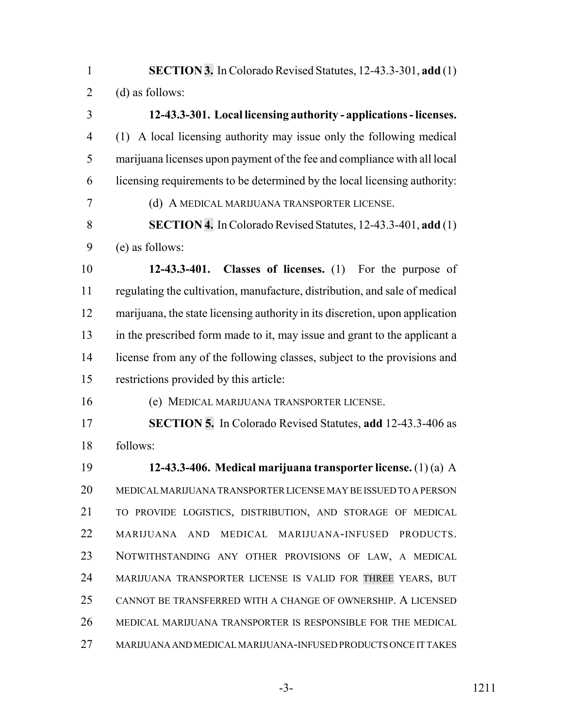**SECTION 3.** In Colorado Revised Statutes, 12-43.3-301, **add** (1) 2 (d) as follows:

 **12-43.3-301. Local licensing authority - applications - licenses.** (1) A local licensing authority may issue only the following medical marijuana licenses upon payment of the fee and compliance with all local licensing requirements to be determined by the local licensing authority: (d) A MEDICAL MARIJUANA TRANSPORTER LICENSE. **SECTION 4.** In Colorado Revised Statutes, 12-43.3-401, **add** (1) (e) as follows: **12-43.3-401. Classes of licenses.** (1) For the purpose of regulating the cultivation, manufacture, distribution, and sale of medical marijuana, the state licensing authority in its discretion, upon application in the prescribed form made to it, may issue and grant to the applicant a license from any of the following classes, subject to the provisions and restrictions provided by this article: (e) MEDICAL MARIJUANA TRANSPORTER LICENSE. **SECTION 5.** In Colorado Revised Statutes, **add** 12-43.3-406 as follows: **12-43.3-406. Medical marijuana transporter license.** (1) (a) A MEDICAL MARIJUANA TRANSPORTER LICENSE MAY BE ISSUED TO A PERSON TO PROVIDE LOGISTICS, DISTRIBUTION, AND STORAGE OF MEDICAL MARIJUANA AND MEDICAL MARIJUANA-INFUSED PRODUCTS. NOTWITHSTANDING ANY OTHER PROVISIONS OF LAW, A MEDICAL MARIJUANA TRANSPORTER LICENSE IS VALID FOR THREE YEARS, BUT CANNOT BE TRANSFERRED WITH A CHANGE OF OWNERSHIP. A LICENSED MEDICAL MARIJUANA TRANSPORTER IS RESPONSIBLE FOR THE MEDICAL MARIJUANA AND MEDICAL MARIJUANA-INFUSED PRODUCTS ONCE IT TAKES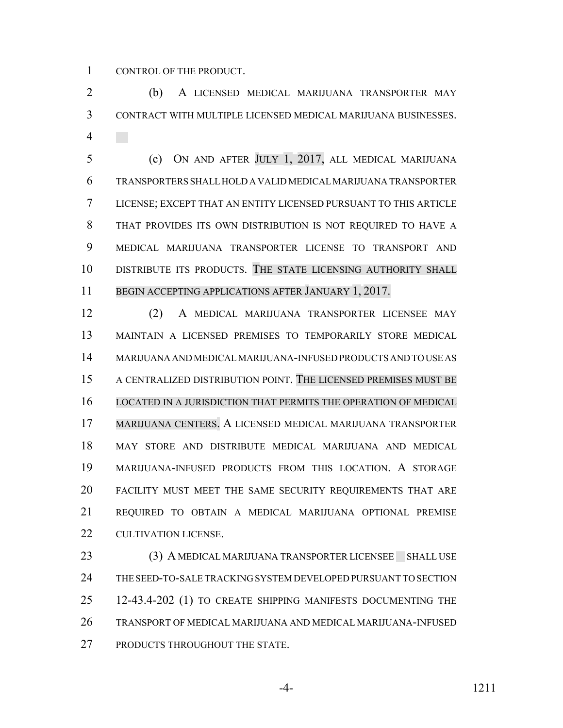CONTROL OF THE PRODUCT.

 (b) A LICENSED MEDICAL MARIJUANA TRANSPORTER MAY CONTRACT WITH MULTIPLE LICENSED MEDICAL MARIJUANA BUSINESSES. 

 (c) ON AND AFTER JULY 1, 2017, ALL MEDICAL MARIJUANA TRANSPORTERS SHALL HOLD A VALID MEDICAL MARIJUANA TRANSPORTER LICENSE; EXCEPT THAT AN ENTITY LICENSED PURSUANT TO THIS ARTICLE THAT PROVIDES ITS OWN DISTRIBUTION IS NOT REQUIRED TO HAVE A MEDICAL MARIJUANA TRANSPORTER LICENSE TO TRANSPORT AND DISTRIBUTE ITS PRODUCTS. THE STATE LICENSING AUTHORITY SHALL 11 BEGIN ACCEPTING APPLICATIONS AFTER JANUARY 1, 2017.

 (2) A MEDICAL MARIJUANA TRANSPORTER LICENSEE MAY MAINTAIN A LICENSED PREMISES TO TEMPORARILY STORE MEDICAL MARIJUANA AND MEDICAL MARIJUANA-INFUSED PRODUCTS AND TO USE AS A CENTRALIZED DISTRIBUTION POINT. THE LICENSED PREMISES MUST BE LOCATED IN A JURISDICTION THAT PERMITS THE OPERATION OF MEDICAL MARIJUANA CENTERS. A LICENSED MEDICAL MARIJUANA TRANSPORTER MAY STORE AND DISTRIBUTE MEDICAL MARIJUANA AND MEDICAL MARIJUANA-INFUSED PRODUCTS FROM THIS LOCATION. A STORAGE FACILITY MUST MEET THE SAME SECURITY REQUIREMENTS THAT ARE REQUIRED TO OBTAIN A MEDICAL MARIJUANA OPTIONAL PREMISE CULTIVATION LICENSE.

23 (3) A MEDICAL MARIJUANA TRANSPORTER LICENSEE SHALL USE THE SEED-TO-SALE TRACKING SYSTEM DEVELOPED PURSUANT TO SECTION 25 12-43.4-202 (1) TO CREATE SHIPPING MANIFESTS DOCUMENTING THE TRANSPORT OF MEDICAL MARIJUANA AND MEDICAL MARIJUANA-INFUSED PRODUCTS THROUGHOUT THE STATE.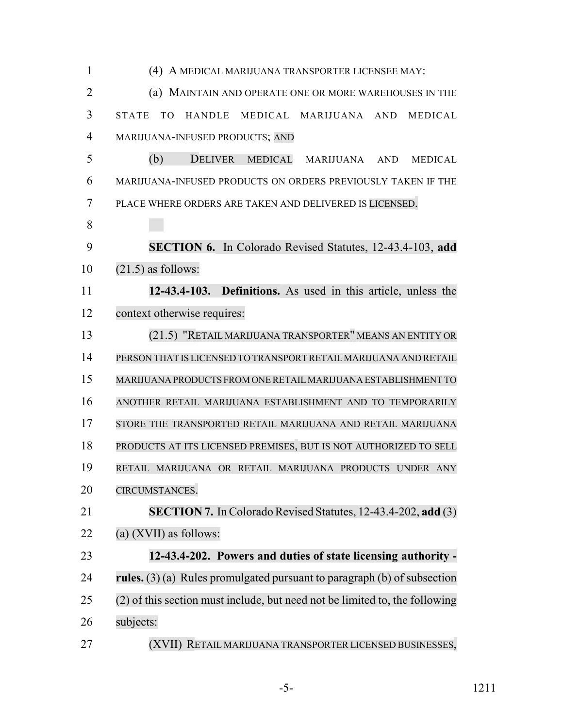| $\mathbf{1}$   | (4) A MEDICAL MARIJUANA TRANSPORTER LICENSEE MAY:                           |
|----------------|-----------------------------------------------------------------------------|
| $\overline{2}$ | (a) MAINTAIN AND OPERATE ONE OR MORE WAREHOUSES IN THE                      |
| 3              | <b>STATE</b><br>TO.<br>HANDLE MEDICAL MARIJUANA AND<br>MEDICAL              |
| $\overline{4}$ | MARIJUANA-INFUSED PRODUCTS; AND                                             |
| 5              | (b)<br><b>DELIVER</b><br>MEDICAL<br>MARIJUANA AND<br><b>MEDICAL</b>         |
| 6              | MARIJUANA-INFUSED PRODUCTS ON ORDERS PREVIOUSLY TAKEN IF THE                |
| 7              | PLACE WHERE ORDERS ARE TAKEN AND DELIVERED IS LICENSED.                     |
| 8              |                                                                             |
| 9              | SECTION 6. In Colorado Revised Statutes, 12-43.4-103, add                   |
| 10             | $(21.5)$ as follows:                                                        |
| 11             | 12-43.4-103. Definitions. As used in this article, unless the               |
| 12             | context otherwise requires:                                                 |
| 13             | (21.5) "RETAIL MARIJUANA TRANSPORTER" MEANS AN ENTITY OR                    |
| 14             | PERSON THAT IS LICENSED TO TRANSPORT RETAIL MARIJUANA AND RETAIL            |
| 15             | MARIJUANA PRODUCTS FROM ONE RETAIL MARIJUANA ESTABLISHMENT TO               |
| 16             | ANOTHER RETAIL MARIJUANA ESTABLISHMENT AND TO TEMPORARILY                   |
| 17             | STORE THE TRANSPORTED RETAIL MARIJUANA AND RETAIL MARIJUANA                 |
| 18             | PRODUCTS AT ITS LICENSED PREMISES, BUT IS NOT AUTHORIZED TO SELL            |
| 19             | RETAIL MARIJUANA OR RETAIL MARIJUANA PRODUCTS UNDER ANY                     |
| 20             | CIRCUMSTANCES.                                                              |
| 21             | SECTION 7. In Colorado Revised Statutes, 12-43.4-202, add (3)               |
| 22             | (a) $(XVII)$ as follows:                                                    |
| 23             | 12-43.4-202. Powers and duties of state licensing authority -               |
| 24             | rules. $(3)$ (a) Rules promulgated pursuant to paragraph (b) of subsection  |
| 25             | (2) of this section must include, but need not be limited to, the following |
| 26             | subjects:                                                                   |
| 27             | (XVII) RETAIL MARIJUANA TRANSPORTER LICENSED BUSINESSES,                    |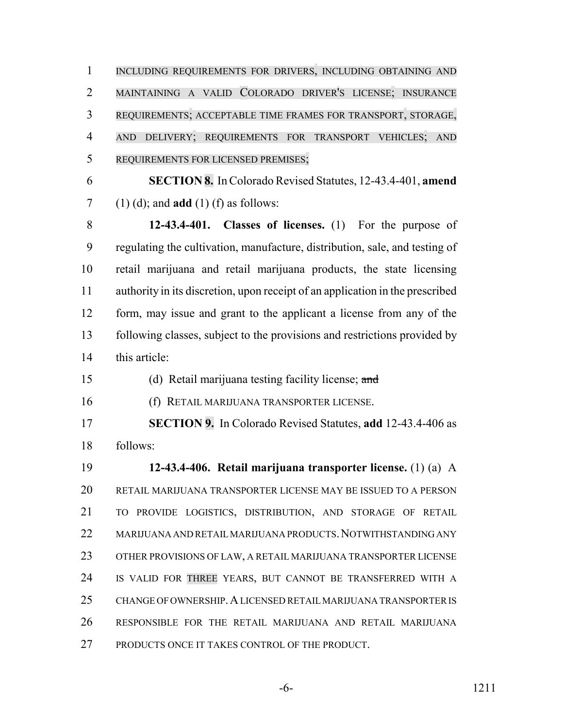1 INCLUDING REQUIREMENTS FOR DRIVERS, INCLUDING OBTAINING AND MAINTAINING A VALID COLORADO DRIVER'S LICENSE; INSURANCE REQUIREMENTS; ACCEPTABLE TIME FRAMES FOR TRANSPORT, STORAGE, AND DELIVERY; REQUIREMENTS FOR TRANSPORT VEHICLES; AND REQUIREMENTS FOR LICENSED PREMISES;

 **SECTION 8.** In Colorado Revised Statutes, 12-43.4-401, **amend** (1) (d); and **add** (1) (f) as follows:

 **12-43.4-401. Classes of licenses.** (1) For the purpose of regulating the cultivation, manufacture, distribution, sale, and testing of retail marijuana and retail marijuana products, the state licensing authority in its discretion, upon receipt of an application in the prescribed form, may issue and grant to the applicant a license from any of the following classes, subject to the provisions and restrictions provided by this article:

(d) Retail marijuana testing facility license; and

(f) RETAIL MARIJUANA TRANSPORTER LICENSE.

 **SECTION 9.** In Colorado Revised Statutes, **add** 12-43.4-406 as follows:

 **12-43.4-406. Retail marijuana transporter license.** (1) (a) A RETAIL MARIJUANA TRANSPORTER LICENSE MAY BE ISSUED TO A PERSON TO PROVIDE LOGISTICS, DISTRIBUTION, AND STORAGE OF RETAIL 22 MARIJUANA AND RETAIL MARIJUANA PRODUCTS. NOTWITHSTANDING ANY OTHER PROVISIONS OF LAW, A RETAIL MARIJUANA TRANSPORTER LICENSE IS VALID FOR THREE YEARS, BUT CANNOT BE TRANSFERRED WITH A CHANGE OF OWNERSHIP.A LICENSED RETAIL MARIJUANA TRANSPORTER IS RESPONSIBLE FOR THE RETAIL MARIJUANA AND RETAIL MARIJUANA PRODUCTS ONCE IT TAKES CONTROL OF THE PRODUCT.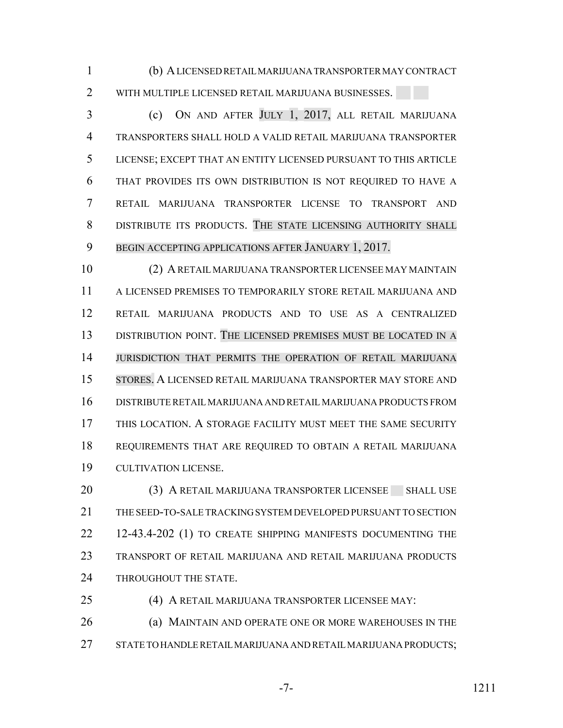(b) A LICENSED RETAIL MARIJUANA TRANSPORTER MAY CONTRACT 2 WITH MULTIPLE LICENSED RETAIL MARIJUANA BUSINESSES.

 (c) ON AND AFTER JULY 1, 2017, ALL RETAIL MARIJUANA TRANSPORTERS SHALL HOLD A VALID RETAIL MARIJUANA TRANSPORTER LICENSE; EXCEPT THAT AN ENTITY LICENSED PURSUANT TO THIS ARTICLE THAT PROVIDES ITS OWN DISTRIBUTION IS NOT REQUIRED TO HAVE A RETAIL MARIJUANA TRANSPORTER LICENSE TO TRANSPORT AND DISTRIBUTE ITS PRODUCTS. THE STATE LICENSING AUTHORITY SHALL BEGIN ACCEPTING APPLICATIONS AFTER JANUARY 1, 2017.

 (2) A RETAIL MARIJUANA TRANSPORTER LICENSEE MAY MAINTAIN A LICENSED PREMISES TO TEMPORARILY STORE RETAIL MARIJUANA AND RETAIL MARIJUANA PRODUCTS AND TO USE AS A CENTRALIZED DISTRIBUTION POINT. THE LICENSED PREMISES MUST BE LOCATED IN A JURISDICTION THAT PERMITS THE OPERATION OF RETAIL MARIJUANA STORES. A LICENSED RETAIL MARIJUANA TRANSPORTER MAY STORE AND DISTRIBUTE RETAIL MARIJUANA AND RETAIL MARIJUANA PRODUCTS FROM THIS LOCATION. A STORAGE FACILITY MUST MEET THE SAME SECURITY REQUIREMENTS THAT ARE REQUIRED TO OBTAIN A RETAIL MARIJUANA CULTIVATION LICENSE.

20 (3) A RETAIL MARIJUANA TRANSPORTER LICENSEE SHALL USE THE SEED-TO-SALE TRACKING SYSTEM DEVELOPED PURSUANT TO SECTION 22 12-43.4-202 (1) TO CREATE SHIPPING MANIFESTS DOCUMENTING THE TRANSPORT OF RETAIL MARIJUANA AND RETAIL MARIJUANA PRODUCTS 24 THROUGHOUT THE STATE.

 (4) A RETAIL MARIJUANA TRANSPORTER LICENSEE MAY: **(a) MAINTAIN AND OPERATE ONE OR MORE WAREHOUSES IN THE** STATE TO HANDLE RETAIL MARIJUANA AND RETAIL MARIJUANA PRODUCTS;

$$
-7-
$$